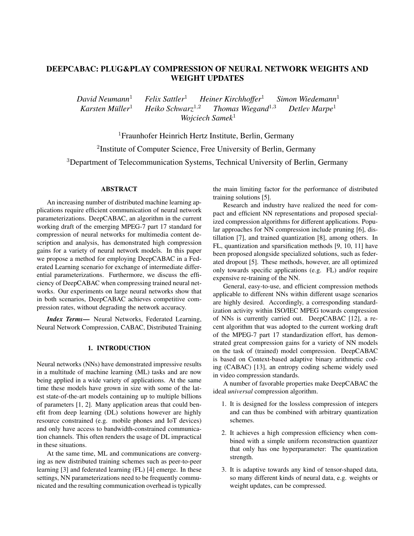# DEEPCABAC: PLUG&PLAY COMPRESSION OF NEURAL NETWORK WEIGHTS AND WEIGHT UPDATES

*David Neumann*<sup>1</sup> *Felix Sattler*<sup>1</sup> *Heiner Kirchhoffer*<sup>1</sup> *Simon Wiedemann*<sup>1</sup> *Karsten Müller*<sup>1</sup> *Heiko Schwarz*<sup>1,2</sup> *Thomas Wiegand*<sup>1,3</sup> *Detlev Marpe*<sup>1</sup> *Karsten Muller ¨* <sup>1</sup> *Heiko Schwarz*<sup>1</sup>,<sup>2</sup> *Thomas Wiegand*<sup>1</sup>,<sup>3</sup> *Detlev Marpe*<sup>1</sup> *Wojciech Samek*<sup>1</sup>

<sup>1</sup>Fraunhofer Heinrich Hertz Institute, Berlin, Germany <sup>2</sup>Institute of Computer Science, Free University of Berlin, Germany <sup>3</sup>Department of Telecommunication Systems, Technical University of Berlin, Germany

# ABSTRACT

An increasing number of distributed machine learning applications require efficient communication of neural network parameterizations. DeepCABAC, an algorithm in the current working draft of the emerging MPEG-7 part 17 standard for compression of neural networks for multimedia content description and analysis, has demonstrated high compression gains for a variety of neural network models. In this paper we propose a method for employing DeepCABAC in a Federated Learning scenario for exchange of intermediate differential parameterizations. Furthermore, we discuss the efficiency of DeepCABAC when compressing trained neural networks. Our experiments on large neural networks show that in both scenarios, DeepCABAC achieves competitive compression rates, without degrading the network accuracy.

*Index Terms*— Neural Networks, Federated Learning, Neural Network Compression, CABAC, Distributed Training

#### 1. INTRODUCTION

Neural networks (NNs) have demonstrated impressive results in a multitude of machine learning (ML) tasks and are now being applied in a wide variety of applications. At the same time these models have grown in size with some of the latest state-of-the-art models containing up to multiple billions of parameters [1, 2]. Many application areas that could benefit from deep learning (DL) solutions however are highly resource constrained (e.g. mobile phones and IoT devices) and only have access to bandwidth-constrained communication channels. This often renders the usage of DL impractical in these situations.

At the same time, ML and communications are converging as new distributed training schemes such as peer-to-peer learning [3] and federated learning (FL) [4] emerge. In these settings, NN parameterizations need to be frequently communicated and the resulting communication overhead is typically

the main limiting factor for the performance of distributed training solutions [5].

Research and industry have realized the need for compact and efficient NN representations and proposed specialized compression algorithms for different applications. Popular approaches for NN compression include pruning [6], distillation [7], and trained quantization [8], among others. In FL, quantization and sparsification methods [9, 10, 11] have been proposed alongside specialized solutions, such as federated dropout [5]. These methods, however, are all optimized only towards specific applications (e.g. FL) and/or require expensive re-training of the NN.

General, easy-to-use, and efficient compression methods applicable to different NNs within different usage scenarios are highly desired. Accordingly, a corresponding standardization activity within ISO/IEC MPEG towards compression of NNs is currently carried out. DeepCABAC [12], a recent algorithm that was adopted to the current working draft of the MPEG-7 part 17 standardization effort, has demonstrated great compression gains for a variety of NN models on the task of (trained) model compression. DeepCABAC is based on Context-based adaptive binary arithmetic coding (CABAC) [13], an entropy coding scheme widely used in video compression standards.

A number of favorable properties make DeepCABAC the ideal *universal* compression algorithm.

- 1. It is designed for the lossless compression of integers and can thus be combined with arbitrary quantization schemes.
- 2. It achieves a high compression efficiency when combined with a simple uniform reconstruction quantizer that only has one hyperparameter: The quantization strength.
- 3. It is adaptive towards any kind of tensor-shaped data, so many different kinds of neural data, e.g. weights or weight updates, can be compressed.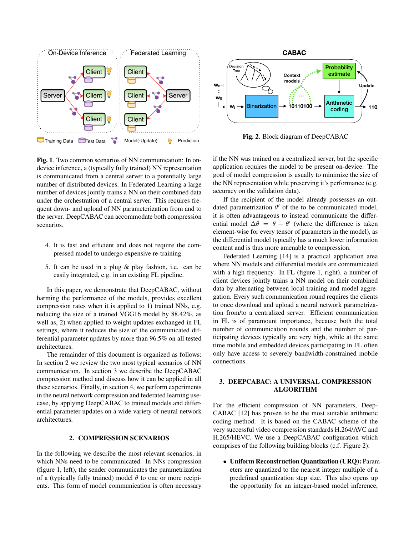

Fig. 1. Two common scenarios of NN communication: In ondevice inference, a (typically fully trained) NN representation is communicated from a central server to a potentially large number of distributed devices. In Federated Learning a large number of devices jointly trains a NN on their combined data under the orchestration of a central server. This requires frequent down- and upload of NN parameterization from and to the server. DeepCABAC can accommodate both compression scenarios.

- 4. It is fast and efficient and does not require the compressed model to undergo expensive re-training.
- 5. It can be used in a plug & play fashion, i.e. can be easily integrated, e.g. in an existing FL pipeline.

In this paper, we demonstrate that DeepCABAC, without harming the performance of the models, provides excellent compression rates when it is applied to 1) trained NNs, e.g. reducing the size of a trained VGG16 model by 88.42%, as well as, 2) when applied to weight updates exchanged in FL settings, where it reduces the size of the communicated differential parameter updates by more than 96.5% on all tested architectures.

The remainder of this document is organized as follows: In section 2 we review the two most typical scenarios of NN communication. In section 3 we describe the DeepCABAC compression method and discuss how it can be applied in all these scenarios. Finally, in section 4, we perform experiments in the neural network compression and federated learning usecase, by applying DeepCABAC to trained models and differential parameter updates on a wide variety of neural network architectures.

## 2. COMPRESSION SCENARIOS

In the following we describe the most relevant scenarios, in which NNs need to be communicated. In NNs compression (figure 1, left), the sender communicates the parametrization of a (typically fully trained) model  $\theta$  to one or more recipients. This form of model communication is often necessary



Fig. 2. Block diagram of DeepCABAC

if the NN was trained on a centralized server, but the specific application requires the model to be present on-device. The goal of model compression is usually to minimize the size of the NN representation while preserving it's performance (e.g. accuracy on the validation data).

If the recipient of the model already possesses an outdated parametrization  $\theta'$  of the to be communicated model, it is often advantageous to instead communicate the differential model  $\Delta\theta = \theta - \theta'$  (where the difference is taken element-wise for every tensor of parameters in the model), as the differential model typically has a much lower information content and is thus more amenable to compression.

Federated Learning [14] is a practical application area where NN models and differential models are communicated with a high frequency. In FL (figure 1, right), a number of client devices jointly trains a NN model on their combined data by alternating between local training and model aggregation. Every such communication round requires the clients to once download and upload a neural network parametrization from/to a centralized server. Efficient communication in FL is of paramount importance, because both the total number of communication rounds and the number of participating devices typically are very high, while at the same time mobile and embedded devices participating in FL often only have access to severely bandwidth-constrained mobile connections.

# 3. DEEPCABAC: A UNIVERSAL COMPRESSION ALGORITHM

For the efficient compression of NN parameters, Deep-CABAC [12] has proven to be the most suitable arithmetic coding method. It is based on the CABAC scheme of the very successful video compression standards H.264/AVC and H.265/HEVC. We use a DeepCABAC configuration which comprises of the following building blocks (c.f. Figure 2):

• Uniform Reconstruction Quantization (URQ): Parameters are quantized to the nearest integer multiple of a predefined quantization step size. This also opens up the opportunity for an integer-based model inference,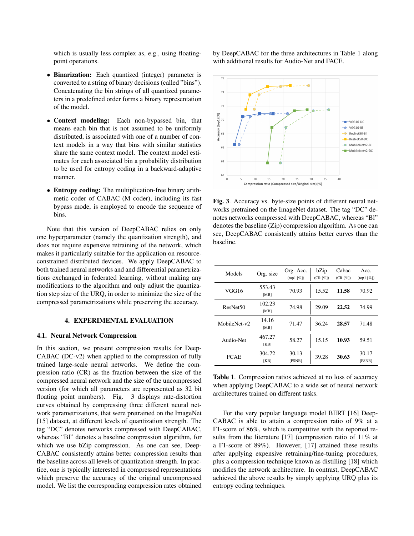which is usually less complex as, e.g., using floatingpoint operations.

- Binarization: Each quantized (integer) parameter is converted to a string of binary decisions (called "bins"). Concatenating the bin strings of all quantized parameters in a predefined order forms a binary representation of the model.
- Context modeling: Each non-bypassed bin, that means each bin that is not assumed to be uniformly distributed, is associated with one of a number of context models in a way that bins with similar statistics share the same context model. The context model estimates for each associated bin a probability distribution to be used for entropy coding in a backward-adaptive manner.
- Entropy coding: The multiplication-free binary arithmetic coder of CABAC (M coder), including its fast bypass mode, is employed to encode the sequence of bins.

Note that this version of DeepCABAC relies on only one hyperparameter (namely the quantization strength), and does not require expensive retraining of the network, which makes it particularly suitable for the application on resourceconstrained distributed devices. We apply DeepCABAC to both trained neural networks and and differential parametrizations exchanged in federated learning, without making any modifications to the algorithm and only adjust the quantization step size of the URQ, in order to minimize the size of the compressed parametrizations while preserving the accuracy.

## 4. EXPERIMENTAL EVALUATION

## 4.1. Neural Network Compression

In this section, we present compression results for Deep-CABAC (DC-v2) when applied to the compression of fully trained large-scale neural networks. We define the compression ratio (CR) as the fraction between the size of the compressed neural network and the size of the uncompressed version (for which all parameters are represented as 32 bit floating point numbers). Fig. 3 displays rate-distortion curves obtained by compressing three different neural network parametrizations, that were pretrained on the ImageNet [15] dataset, at different levels of quantization strength. The tag "DC" denotes networks compressed with DeepCABAC, whereas "Bl" denotes a baseline compression algorithm, for which we use bZip compression. As one can see, Deep-CABAC consistently attains better compression results than the baseline across all levels of quantization strength. In practice, one is typically interested in compressed representations which preserve the accuracy of the original uncompressed model. We list the corresponding compression rates obtained by DeepCABAC for the three architectures in Table 1 along with additional results for Audio-Net and FACE.



Fig. 3. Accuracy vs. byte-size points of different neural networks pretrained on the ImageNet dataset. The tag "DC" denotes networks compressed with DeepCABAC, whereas "Bl" denotes the baseline (Zip) compression algorithm. As one can see, DeepCABAC consistently attains better curves than the baseline.

| Models               | Org. size      | Org. Acc.<br>$(top1 [\%])$ | bZip<br>(CR [%]) | Cabac<br>(CR [%]) | Acc.<br>$(top1 [\%])$ |
|----------------------|----------------|----------------------------|------------------|-------------------|-----------------------|
| VGG16                | 553.43<br>[MB] | 70.93                      | 15.52            | 11.58             | 70.92                 |
| ResNet <sub>50</sub> | 102.23<br>[MB] | 74.98                      | 29.09            | 22.52             | 74.99                 |
| MobileNet-v2         | 14.16<br>[MB]  | 71.47                      | 36.24            | 28.57             | 71.48                 |
| Audio-Net            | 467.27<br>[KB] | 58.27                      | 15.15            | 10.93             | 59.51                 |
| <b>FCAE</b>          | 304.72<br>[KB] | 30.13<br>[PSNR]            | 39.28            | 30.63             | 30.17<br>[PSNR]       |

Table 1. Compression ratios achieved at no loss of accuracy when applying DeepCABAC to a wide set of neural network architectures trained on different tasks.

For the very popular language model BERT [16] Deep-CABAC is able to attain a compression ratio of 9% at a F1-score of 86%, which is competitive with the reported results from the literature [17] (compression ratio of 11% at a F1-score of 89%). However, [17] attained these results after applying expensive retraining/fine-tuning procedures, plus a compression technique known as distilling [18] which modifies the network architecture. In contrast, DeepCABAC achieved the above results by simply applying URQ plus its entropy coding techniques.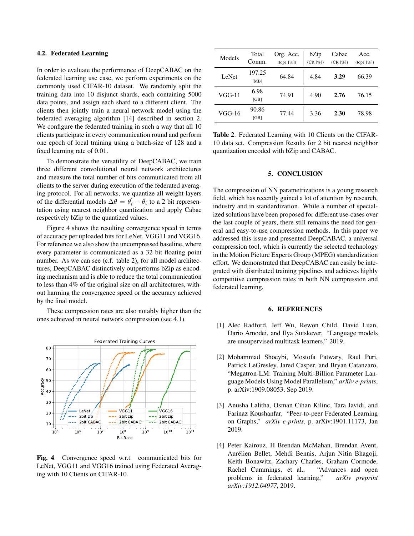## 4.2. Federated Learning

In order to evaluate the performance of DeepCABAC on the federated learning use case, we perform experiments on the commonly used CIFAR-10 dataset. We randomly split the training data into 10 disjunct shards, each containing 5000 data points, and assign each shard to a different client. The clients then jointly train a neural network model using the federated averaging algorithm [14] described in section 2. We configure the federated training in such a way that all 10 clients participate in every communication round and perform one epoch of local training using a batch-size of 128 and a fixed learning rate of 0.01.

To demonstrate the versatility of DeepCABAC, we train three different convolutional neural network architectures and measure the total number of bits communicated from all clients to the server during execution of the federated averaging protocol. For all networks, we quantize all weight layers of the differential models  $\Delta \theta = \theta_i' - \theta_i$  to a 2 bit representation using nearest neighbor quantization and apply Cabac respectively bZip to the quantized values.

Figure 4 shows the resulting convergence speed in terms of accuracy per uploaded bits for LeNet, VGG11 and VGG16. For reference we also show the uncompressed baseline, where every parameter is communicated as a 32 bit floating point number. As we can see (c.f. table 2), for all model architectures, DeepCABAC distinctively outperforms bZip as encoding mechanism and is able to reduce the total communication to less than 4% of the original size on all architectures, without harming the convergence speed or the accuracy achieved by the final model.

These compression rates are also notably higher than the ones achieved in neural network compression (sec 4.1).



Fig. 4. Convergence speed w.r.t. communicated bits for LeNet, VGG11 and VGG16 trained using Federated Averaging with 10 Clients on CIFAR-10.

| Models | Total<br>Comm. | Org. Acc.<br>$(top1 [\%])$ | bZip<br>(CR [%]) | Cabac<br>(CR [%]) | Acc.<br>$(top1 [\%])$ |
|--------|----------------|----------------------------|------------------|-------------------|-----------------------|
| LeNet  | 197.25<br>[MB] | 64.84                      | 4.84             | 3.29              | 66.39                 |
| VGG-11 | 6.98<br>[GB]   | 74.91                      | 4.90             | 2.76              | 76.15                 |
| VGG-16 | 90.86<br>[GB]  | 77.44                      | 3.36             | 2.30              | 78.98                 |

Table 2. Federated Learning with 10 Clients on the CIFAR-10 data set. Compression Results for 2 bit nearest neighbor quantization encoded with bZip and CABAC.

#### 5. CONCLUSION

The compression of NN parametrizations is a young research field, which has recently gained a lot of attention by research, industry and in standardization. While a number of specialized solutions have been proposed for different use-cases over the last couple of years, there still remains the need for general and easy-to-use compression methods. In this paper we addressed this issue and presented DeepCABAC, a universal compression tool, which is currently the selected technology in the Motion Picture Experts Group (MPEG) standardization effort. We demonstrated that DeepCABAC can easily be integrated with distributed training pipelines and achieves highly competitive compression rates in both NN compression and federated learning.

#### 6. REFERENCES

- [1] Alec Radford, Jeff Wu, Rewon Child, David Luan, Dario Amodei, and Ilya Sutskever, "Language models are unsupervised multitask learners," 2019.
- [2] Mohammad Shoeybi, Mostofa Patwary, Raul Puri, Patrick LeGresley, Jared Casper, and Bryan Catanzaro, "Megatron-LM: Training Multi-Billion Parameter Language Models Using Model Parallelism," *arXiv e-prints*, p. arXiv:1909.08053, Sep 2019.
- [3] Anusha Lalitha, Osman Cihan Kilinc, Tara Javidi, and Farinaz Koushanfar, "Peer-to-peer Federated Learning on Graphs," *arXiv e-prints*, p. arXiv:1901.11173, Jan 2019.
- [4] Peter Kairouz, H Brendan McMahan, Brendan Avent, Aurélien Bellet, Mehdi Bennis, Arjun Nitin Bhagoji, Keith Bonawitz, Zachary Charles, Graham Cormode, Rachel Cummings, et al., "Advances and open problems in federated learning," *arXiv preprint arXiv:1912.04977*, 2019.